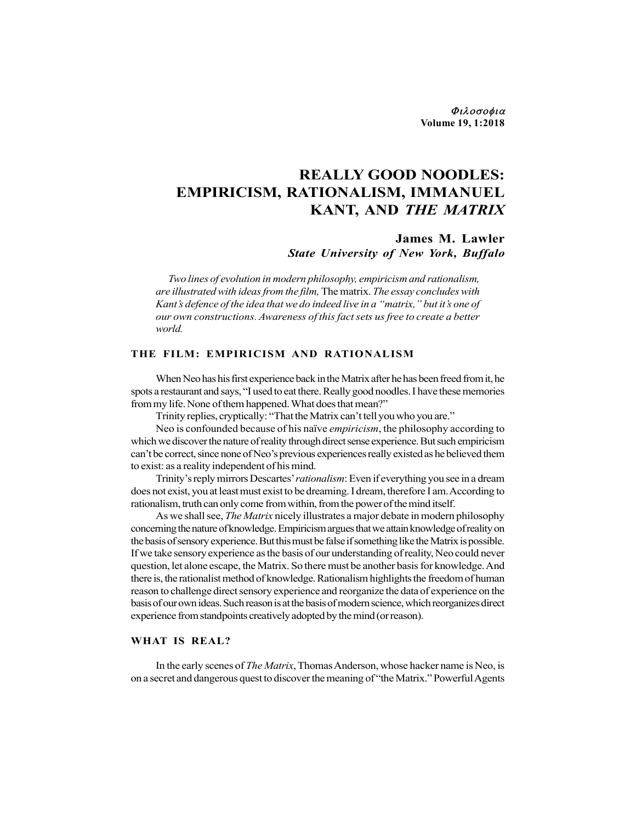Φιλοσοφια Volume 19, 1:2018

# REALLY GOOD NOODLES: EMPIRICISM, RATIONALISM, IMMANUEL KANT, AND THE MATRIX

# James M. Lawler State University of New York, Buffalo

Two lines of evolution in modern philosophy, empiricism and rationalism, are illustrated with ideas from the film, The matrix. The essay concludes with Kant's defence of the idea that we do indeed live in a "matrix," but it's one of our own constructions. Awareness of this fact sets us free to create a better world.

#### THE FILM: EMPIRICISM AND RATIONALISM

When Neo has his first experience back in the Matrix after he has been freed from it, he spots a restaurant and says, "I used to eat there. Really good noodles. I have these memories from my life. None of them happened. What does that mean?"

Trinity replies, cryptically: "That the Matrix can't tell you who you are."

Neo is confounded because of his naïve empiricism, the philosophy according to which we discover the nature of reality through direct sense experience. But such empiricism can't be correct, since none of Neo's previous experiences really existed as he believed them to exist: as a reality independent of his mind.

Trinity's reply mirrors Descartes' rationalism: Even if everything you see in a dream does not exist, you at least must exist to be dreaming. I dream, therefore I am. According to rationalism, truth can only come from within, from the power of the mind itself.

As we shall see, The Matrix nicely illustrates a major debate in modern philosophy concerning the nature of knowledge. Empiricism argues that we attain knowledge of reality on the basis of sensory experience. But this must be false if something like the Matrix is possible. If we take sensory experience as the basis of our understanding of reality, Neo could never question, let alone escape, the Matrix. So there must be another basis for knowledge. And there is, the rationalist method of knowledge. Rationalism highlights the freedom of human reason to challenge direct sensory experience and reorganize the data of experience on the basis of our own ideas. Such reason is at the basis of modern science, which reorganizes direct experience from standpoints creatively adopted by the mind (or reason).

### WHAT IS REAL?

In the early scenes of The Matrix, Thomas Anderson, whose hacker name is Neo, is on a secret and dangerous quest to discover the meaning of "the Matrix." Powerful Agents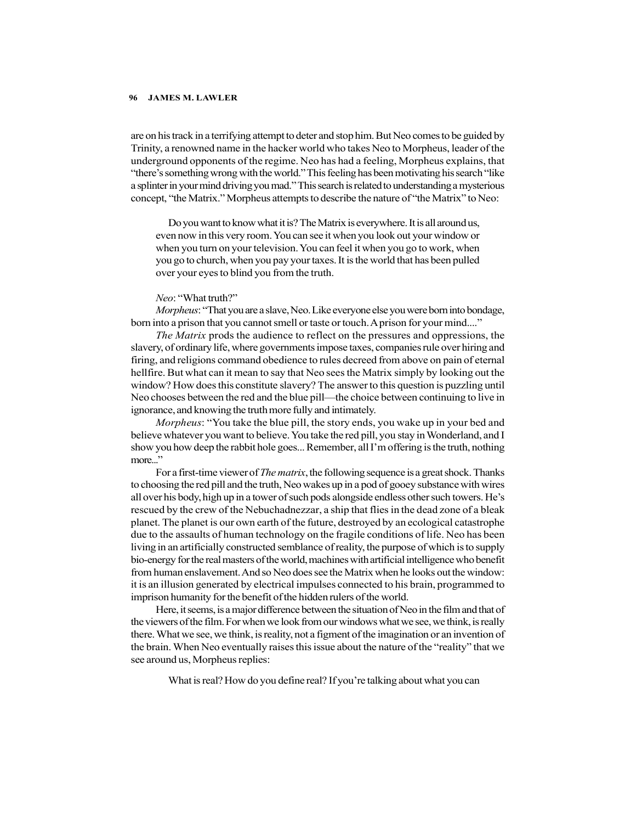are on his track in a terrifying attempt to deter and stop him. But Neo comes to be guided by Trinity, a renowned name in the hacker world who takes Neo to Morpheus, leader of the underground opponents of the regime. Neo has had a feeling, Morpheus explains, that "there's something wrong with the world." This feeling has been motivating his search "like a splinter in your mind driving you mad." This search is related to understanding a mysterious concept, "the Matrix." Morpheus attempts to describe the nature of "the Matrix" to Neo:

Do you want to know what it is? The Matrix is everywhere. It is all around us, even now in this very room. You can see it when you look out your window or when you turn on your television. You can feel it when you go to work, when you go to church, when you pay your taxes. It is the world that has been pulled over your eyes to blind you from the truth.

#### Neo: "What truth?"

Morpheus: "That you are a slave, Neo. Like everyone else you were born into bondage, born into a prison that you cannot smell or taste or touch. A prison for your mind...."

The Matrix prods the audience to reflect on the pressures and oppressions, the slavery, of ordinary life, where governments impose taxes, companies rule over hiring and firing, and religions command obedience to rules decreed from above on pain of eternal hellfire. But what can it mean to say that Neo sees the Matrix simply by looking out the window? How does this constitute slavery? The answer to this question is puzzling until Neo chooses between the red and the blue pill—the choice between continuing to live in ignorance, and knowing the truth more fully and intimately.

Morpheus: "You take the blue pill, the story ends, you wake up in your bed and believe whatever you want to believe. You take the red pill, you stay in Wonderland, and I show you how deep the rabbit hole goes... Remember, all I'm offering is the truth, nothing more..."

For a first-time viewer of The matrix, the following sequence is a great shock. Thanks to choosing the red pill and the truth, Neo wakes up in a pod of gooey substance with wires all over his body, high up in a tower of such pods alongside endless other such towers. He's rescued by the crew of the Nebuchadnezzar, a ship that flies in the dead zone of a bleak planet. The planet is our own earth of the future, destroyed by an ecological catastrophe due to the assaults of human technology on the fragile conditions of life. Neo has been living in an artificially constructed semblance of reality, the purpose of which is to supply bio-energy for the real masters of the world, machines with artificial intelligence who benefit from human enslavement. And so Neo does see the Matrix when he looks out the window: it is an illusion generated by electrical impulses connected to his brain, programmed to imprison humanity for the benefit of the hidden rulers of the world.

Here, it seems, is a major difference between the situation of Neo in the film and that of the viewers of the film. For when we look from our windows what we see, we think, is really there. What we see, we think, is reality, not a figment of the imagination or an invention of the brain. When Neo eventually raises this issue about the nature of the "reality" that we see around us, Morpheus replies:

What is real? How do you define real? If you're talking about what you can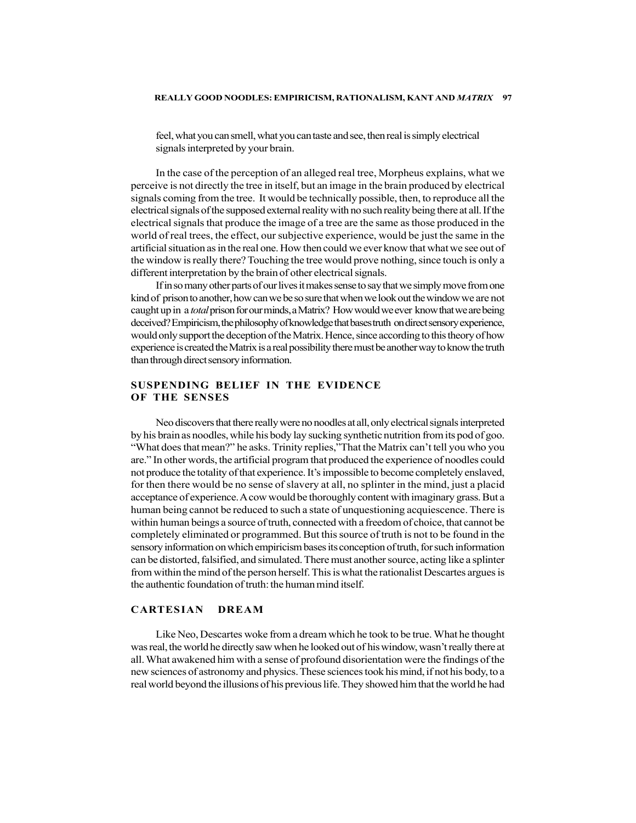feel, what you can smell, what you can taste and see, then real is simply electrical signals interpreted by your brain.

In the case of the perception of an alleged real tree, Morpheus explains, what we perceive is not directly the tree in itself, but an image in the brain produced by electrical signals coming from the tree. It would be technically possible, then, to reproduce all the electrical signals of the supposed external reality with no such reality being there at all. If the electrical signals that produce the image of a tree are the same as those produced in the world of real trees, the effect, our subjective experience, would be just the same in the artificial situation as in the real one. How then could we ever know that what we see out of the window is really there? Touching the tree would prove nothing, since touch is only a different interpretation by the brain of other electrical signals.

If in so many other parts of our lives it makes sense to say that we simply move from one kind of prison to another, how can we be so sure that when we look out the window we are not caught up in a total prison for our minds, a Matrix? How would we ever know that we are being deceived? Empiricism, the philosophy of knowledge that bases truth on direct sensory experience, would only support the deception of the Matrix. Hence, since according to this theory of how experience is created the Matrix is a real possibility there must be another way to know the truth than through direct sensory information.

## SUSPENDING BELIEF IN THE EVIDENCE OF THE SENSES

Neo discovers that there really were no noodles at all, only electrical signals interpreted by his brain as noodles, while his body lay sucking synthetic nutrition from its pod of goo. "What does that mean?" he asks. Trinity replies,"That the Matrix can't tell you who you are." In other words, the artificial program that produced the experience of noodles could not produce the totality of that experience. It's impossible to become completely enslaved, for then there would be no sense of slavery at all, no splinter in the mind, just a placid acceptance of experience. A cow would be thoroughly content with imaginary grass. But a human being cannot be reduced to such a state of unquestioning acquiescence. There is within human beings a source of truth, connected with a freedom of choice, that cannot be completely eliminated or programmed. But this source of truth is not to be found in the sensory information on which empiricism bases its conception of truth, for such information can be distorted, falsified, and simulated. There must another source, acting like a splinter from within the mind of the person herself. This is what the rationalist Descartes argues is the authentic foundation of truth: the human mind itself.

#### CARTESIAN DREAM

Like Neo, Descartes woke from a dream which he took to be true. What he thought was real, the world he directly saw when he looked out of his window, wasn't really there at all. What awakened him with a sense of profound disorientation were the findings of the new sciences of astronomy and physics. These sciences took his mind, if not his body, to a real world beyond the illusions of his previous life. They showed him that the world he had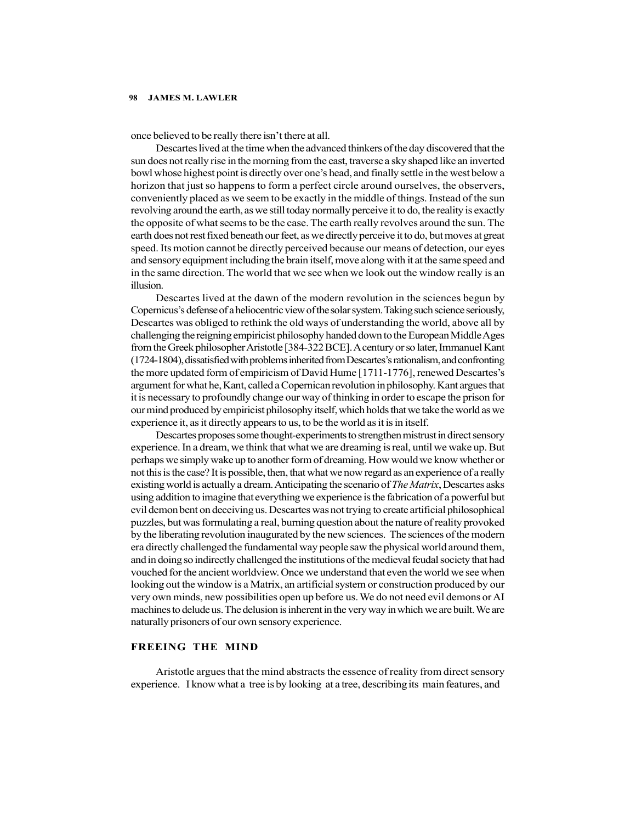once believed to be really there isn't there at all.

Descartes lived at the time when the advanced thinkers of the day discovered that the sun does not really rise in the morning from the east, traverse a sky shaped like an inverted bowl whose highest point is directly over one's head, and finally settle in the west below a horizon that just so happens to form a perfect circle around ourselves, the observers, conveniently placed as we seem to be exactly in the middle of things. Instead of the sun revolving around the earth, as we still today normally perceive it to do, the reality is exactly the opposite of what seems to be the case. The earth really revolves around the sun. The earth does not rest fixed beneath our feet, as we directly perceive it to do, but moves at great speed. Its motion cannot be directly perceived because our means of detection, our eyes and sensory equipment including the brain itself, move along with it at the same speed and in the same direction. The world that we see when we look out the window really is an illusion.

Descartes lived at the dawn of the modern revolution in the sciences begun by Copernicus's defense of a heliocentric view of the solar system. Taking such science seriously, Descartes was obliged to rethink the old ways of understanding the world, above all by challenging the reigning empiricist philosophy handed down to the European Middle Ages from the Greek philosopher Aristotle [384-322 BCE]. A century or so later, Immanuel Kant (1724-1804), dissatisfied with problems inherited from Descartes's rationalism, and confronting the more updated form of empiricism of David Hume [1711-1776], renewed Descartes's argument for what he, Kant, called a Copernican revolution in philosophy. Kant argues that it is necessary to profoundly change our way of thinking in order to escape the prison for our mind produced by empiricist philosophy itself, which holds that we take the world as we experience it, as it directly appears to us, to be the world as it is in itself.

Descartes proposes some thought-experiments to strengthen mistrust in direct sensory experience. In a dream, we think that what we are dreaming is real, until we wake up. But perhaps we simply wake up to another form of dreaming. How would we know whether or not this is the case? It is possible, then, that what we now regard as an experience of a really existing world is actually a dream. Anticipating the scenario of *The Matrix*, Descartes asks using addition to imagine that everything we experience is the fabrication of a powerful but evil demon bent on deceiving us. Descartes was not trying to create artificial philosophical puzzles, but was formulating a real, burning question about the nature of reality provoked by the liberating revolution inaugurated by the new sciences. The sciences of the modern era directly challenged the fundamental way people saw the physical world around them, and in doing so indirectly challenged the institutions of the medieval feudal society that had vouched for the ancient worldview. Once we understand that even the world we see when looking out the window is a Matrix, an artificial system or construction produced by our very own minds, new possibilities open up before us. We do not need evil demons or AI machines to delude us. The delusion is inherent in the very way in which we are built. We are naturally prisoners of our own sensory experience.

#### FREEING THE MIND

Aristotle argues that the mind abstracts the essence of reality from direct sensory experience. I know what a tree is by looking at a tree, describing its main features, and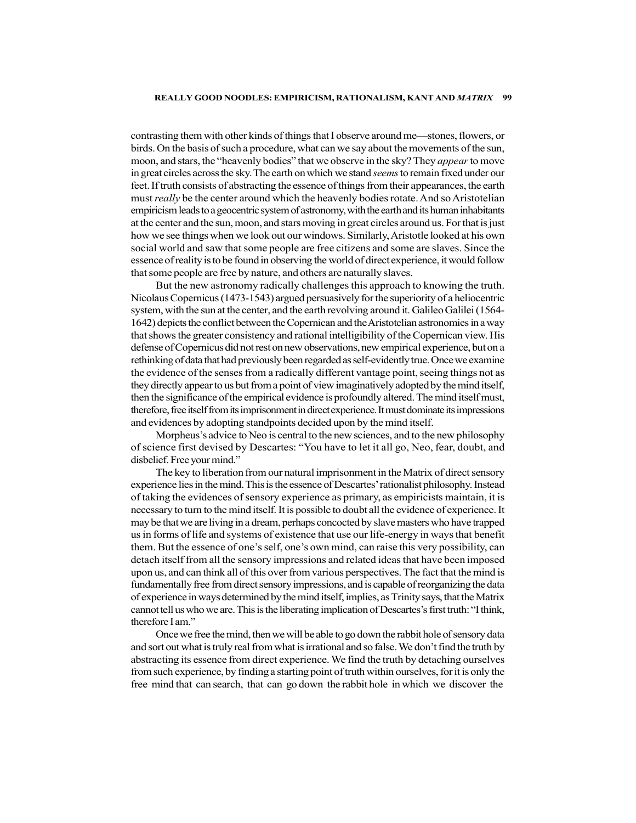contrasting them with other kinds of things that I observe around me—stones, flowers, or birds. On the basis of such a procedure, what can we say about the movements of the sun, moon, and stars, the "heavenly bodies" that we observe in the sky? They *appear* to move in great circles across the sky. The earth on which we stand *seems* to remain fixed under our feet. If truth consists of abstracting the essence of things from their appearances, the earth must *really* be the center around which the heavenly bodies rotate. And so Aristotelian empiricism leads to a geocentric system of astronomy, with the earth and its human inhabitants at the center and the sun, moon, and stars moving in great circles around us. For that is just how we see things when we look out our windows. Similarly, Aristotle looked at his own social world and saw that some people are free citizens and some are slaves. Since the essence of reality is to be found in observing the world of direct experience, it would follow that some people are free by nature, and others are naturally slaves.

But the new astronomy radically challenges this approach to knowing the truth. Nicolaus Copernicus (1473-1543) argued persuasively for the superiority of a heliocentric system, with the sun at the center, and the earth revolving around it. Galileo Galilei (1564- 1642) depicts the conflict between the Copernican and the Aristotelian astronomies in a way that shows the greater consistency and rational intelligibility of the Copernican view. His defense of Copernicus did not rest on new observations, new empirical experience, but on a rethinking of data that had previously been regarded as self-evidently true. Once we examine the evidence of the senses from a radically different vantage point, seeing things not as they directly appear to us but from a point of view imaginatively adopted by the mind itself, then the significance of the empirical evidence is profoundly altered. The mind itself must, therefore, free itself from its imprisonment in direct experience. It must dominate its impressions and evidences by adopting standpoints decided upon by the mind itself.

Morpheus's advice to Neo is central to the new sciences, and to the new philosophy of science first devised by Descartes: "You have to let it all go, Neo, fear, doubt, and disbelief. Free your mind."

The key to liberation from our natural imprisonment in the Matrix of direct sensory experience lies in the mind. This is the essence of Descartes' rationalist philosophy. Instead of taking the evidences of sensory experience as primary, as empiricists maintain, it is necessary to turn to the mind itself. It is possible to doubt all the evidence of experience. It may be that we are living in a dream, perhaps concocted by slave masters who have trapped us in forms of life and systems of existence that use our life-energy in ways that benefit them. But the essence of one's self, one's own mind, can raise this very possibility, can detach itself from all the sensory impressions and related ideas that have been imposed upon us, and can think all of this over from various perspectives. The fact that the mind is fundamentally free from direct sensory impressions, and is capable of reorganizing the data of experience in ways determined by the mind itself, implies, as Trinity says, that the Matrix cannot tell us who we are. This is the liberating implication of Descartes's first truth: "I think, therefore I am."

Once we free the mind, then we will be able to go down the rabbit hole of sensory data and sort out what is truly real from what is irrational and so false. We don't find the truth by abstracting its essence from direct experience. We find the truth by detaching ourselves from such experience, by finding a starting point of truth within ourselves, for it is only the free mind that can search, that can go down the rabbit hole in which we discover the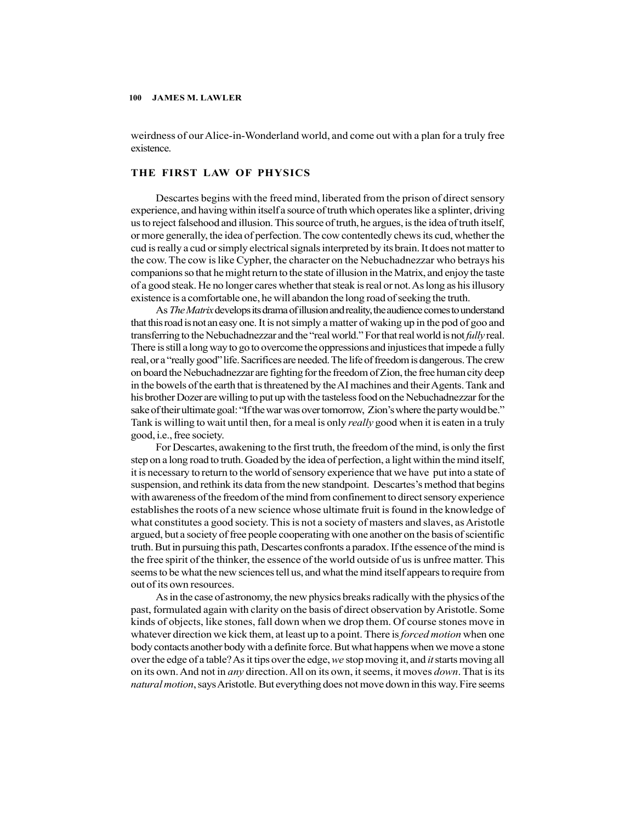weirdness of our Alice-in-Wonderland world, and come out with a plan for a truly free existence.

#### THE FIRST LAW OF PHYSICS

Descartes begins with the freed mind, liberated from the prison of direct sensory experience, and having within itself a source of truth which operates like a splinter, driving us to reject falsehood and illusion. This source of truth, he argues, is the idea of truth itself, or more generally, the idea of perfection. The cow contentedly chews its cud, whether the cud is really a cud or simply electrical signals interpreted by its brain. It does not matter to the cow. The cow is like Cypher, the character on the Nebuchadnezzar who betrays his companions so that he might return to the state of illusion in the Matrix, and enjoy the taste of a good steak. He no longer cares whether that steak is real or not. As long as his illusory existence is a comfortable one, he will abandon the long road of seeking the truth.

As *The Matrix* develops its drama of illusion and reality, the audience comes to understand that this road is not an easy one. It is not simply a matter of waking up in the pod of goo and transferring to the Nebuchadnezzar and the "real world." For that real world is not *fully* real. There is still a long way to go to overcome the oppressions and injustices that impede a fully real, or a "really good" life. Sacrifices are needed. The life of freedom is dangerous. The crew on board the Nebuchadnezzar are fighting for the freedom of Zion, the free human city deep in the bowels of the earth that is threatened by the AI machines and their Agents. Tank and his brother Dozer are willing to put up with the tasteless food on the Nebuchadnezzar for the sake of their ultimate goal: "If the war was over tomorrow, Zion's where the party would be." Tank is willing to wait until then, for a meal is only *really* good when it is eaten in a truly good, i.e., free society.

For Descartes, awakening to the first truth, the freedom of the mind, is only the first step on a long road to truth. Goaded by the idea of perfection, a light within the mind itself, it is necessary to return to the world of sensory experience that we have put into a state of suspension, and rethink its data from the new standpoint. Descartes's method that begins with awareness of the freedom of the mind from confinement to direct sensory experience establishes the roots of a new science whose ultimate fruit is found in the knowledge of what constitutes a good society. This is not a society of masters and slaves, as Aristotle argued, but a society of free people cooperating with one another on the basis of scientific truth. But in pursuing this path, Descartes confronts a paradox. If the essence of the mind is the free spirit of the thinker, the essence of the world outside of us is unfree matter. This seems to be what the new sciences tell us, and what the mind itself appears to require from out of its own resources.

As in the case of astronomy, the new physics breaks radically with the physics of the past, formulated again with clarity on the basis of direct observation by Aristotle. Some kinds of objects, like stones, fall down when we drop them. Of course stones move in whatever direction we kick them, at least up to a point. There is *forced motion* when one body contacts another body with a definite force. But what happens when we move a stone over the edge of a table? As it tips over the edge, we stop moving it, and *it* starts moving all on its own. And not in *any* direction. All on its own, it seems, it moves *down*. That is its natural motion, says Aristotle. But everything does not move down in this way. Fire seems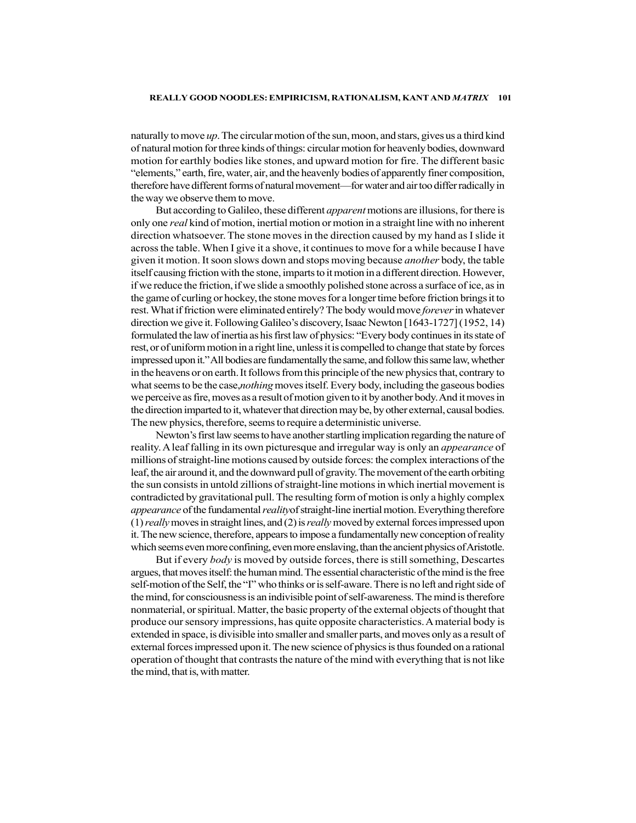naturally to move  $up$ . The circular motion of the sun, moon, and stars, gives us a third kind of natural motion for three kinds of things: circular motion for heavenly bodies, downward motion for earthly bodies like stones, and upward motion for fire. The different basic "elements," earth, fire, water, air, and the heavenly bodies of apparently finer composition, therefore have different forms of natural movement—for water and air too differ radically in the way we observe them to move.

But according to Galileo, these different apparent motions are illusions, for there is only one *real* kind of motion, inertial motion or motion in a straight line with no inherent direction whatsoever. The stone moves in the direction caused by my hand as I slide it across the table. When I give it a shove, it continues to move for a while because I have given it motion. It soon slows down and stops moving because another body, the table itself causing friction with the stone, imparts to it motion in a different direction. However, if we reduce the friction, if we slide a smoothly polished stone across a surface of ice, as in the game of curling or hockey, the stone moves for a longer time before friction brings it to rest. What if friction were eliminated entirely? The body would move *forever* in whatever direction we give it. Following Galileo's discovery, Isaac Newton [1643-1727] (1952, 14) formulated the law of inertia as his first law of physics: "Every body continues in its state of rest, or of uniform motion in a right line, unless it is compelled to change that state by forces impressed upon it."All bodies are fundamentally the same, and follow this same law, whether in the heavens or on earth. It follows from this principle of the new physics that, contrary to what seems to be the case,*nothing* moves itself. Every body, including the gaseous bodies we perceive as fire, moves as a result of motion given to it by another body. And it moves in the direction imparted to it, whatever that direction may be, by other external, causal bodies. The new physics, therefore, seems to require a deterministic universe.

Newton's first law seems to have another startling implication regarding the nature of reality. A leaf falling in its own picturesque and irregular way is only an *appearance* of millions of straight-line motions caused by outside forces: the complex interactions of the leaf, the air around it, and the downward pull of gravity. The movement of the earth orbiting the sun consists in untold zillions of straight-line motions in which inertial movement is contradicted by gravitational pull. The resulting form of motion is only a highly complex appearance of the fundamental *reality* of straight-line inertial motion. Everything therefore  $(1)$  really moves in straight lines, and  $(2)$  is *really* moved by external forces impressed upon it. The new science, therefore, appears to impose a fundamentally new conception of reality which seems even more confining, even more enslaving, than the ancient physics of Aristotle.

But if every body is moved by outside forces, there is still something, Descartes argues, that moves itself: the human mind. The essential characteristic of the mind is the free self-motion of the Self, the "I" who thinks or is self-aware. There is no left and right side of the mind, for consciousness is an indivisible point of self-awareness. The mind is therefore nonmaterial, or spiritual. Matter, the basic property of the external objects of thought that produce our sensory impressions, has quite opposite characteristics. A material body is extended in space, is divisible into smaller and smaller parts, and moves only as a result of external forces impressed upon it. The new science of physics is thus founded on a rational operation of thought that contrasts the nature of the mind with everything that is not like the mind, that is, with matter.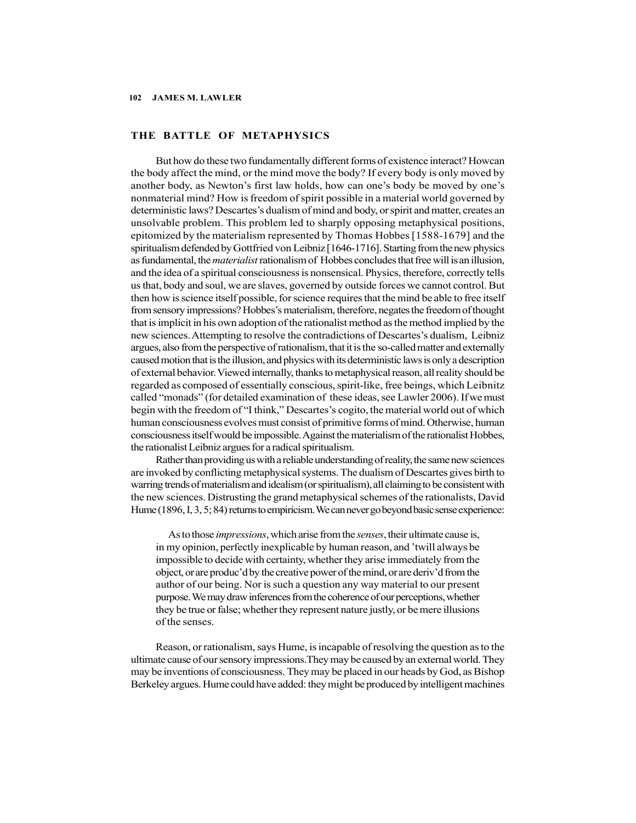#### THE BATTLE OF METAPHYSICS

But how do these two fundamentally different forms of existence interact? Howcan the body affect the mind, or the mind move the body? If every body is only moved by another body, as Newton's first law holds, how can one's body be moved by one's nonmaterial mind? How is freedom of spirit possible in a material world governed by deterministic laws? Descartes's dualism of mind and body, or spirit and matter, creates an unsolvable problem. This problem led to sharply opposing metaphysical positions, epitomized by the materialism represented by Thomas Hobbes [1588-1679] and the spiritualism defended by Gottfried von Leibniz [1646-1716]. Starting from the new physics as fundamental, the materialist rationalism of Hobbes concludes that free will is an illusion, and the idea of a spiritual consciousness is nonsensical. Physics, therefore, correctly tells us that, body and soul, we are slaves, governed by outside forces we cannot control. But then how is science itself possible, for science requires that the mind be able to free itself from sensory impressions? Hobbes's materialism, therefore, negates the freedom of thought that is implicit in his own adoption of the rationalist method as the method implied by the new sciences. Attempting to resolve the contradictions of Descartes's dualism, Leibniz argues, also from the perspective of rationalism, that it is the so-called matter and externally caused motion that is the illusion, and physics with its deterministic laws is only a description of external behavior. Viewed internally, thanks to metaphysical reason, all reality should be regarded as composed of essentially conscious, spirit-like, free beings, which Leibnitz called "monads" (for detailed examination of these ideas, see Lawler 2006). If we must begin with the freedom of "I think," Descartes's cogito, the material world out of which human consciousness evolves must consist of primitive forms of mind. Otherwise, human consciousness itself would be impossible. Against the materialism of the rationalist Hobbes, the rationalist Leibniz argues for a radical spiritualism.

Rather than providing us with a reliable understanding of reality, the same new sciences are invoked by conflicting metaphysical systems. The dualism of Descartes gives birth to warring trends of materialism and idealism (or spiritualism), all claiming to be consistent with the new sciences. Distrusting the grand metaphysical schemes of the rationalists, David Hume (1896, I, 3, 5; 84) returns to empiricism. We can never go beyond basic sense experience:

As to those impressions, which arise from the senses, their ultimate cause is, in my opinion, perfectly inexplicable by human reason, and 'twill always be impossible to decide with certainty, whether they arise immediately from the object, or are produc'd by the creative power of the mind, or are deriv'd from the author of our being. Nor is such a question any way material to our present purpose. We may draw inferences from the coherence of our perceptions, whether they be true or false; whether they represent nature justly, or be mere illusions of the senses.

Reason, or rationalism, says Hume, is incapable of resolving the question as to the ultimate cause of our sensory impressions.They may be caused by an external world. They may be inventions of consciousness. They may be placed in our heads by God, as Bishop Berkeley argues. Hume could have added: they might be produced by intelligent machines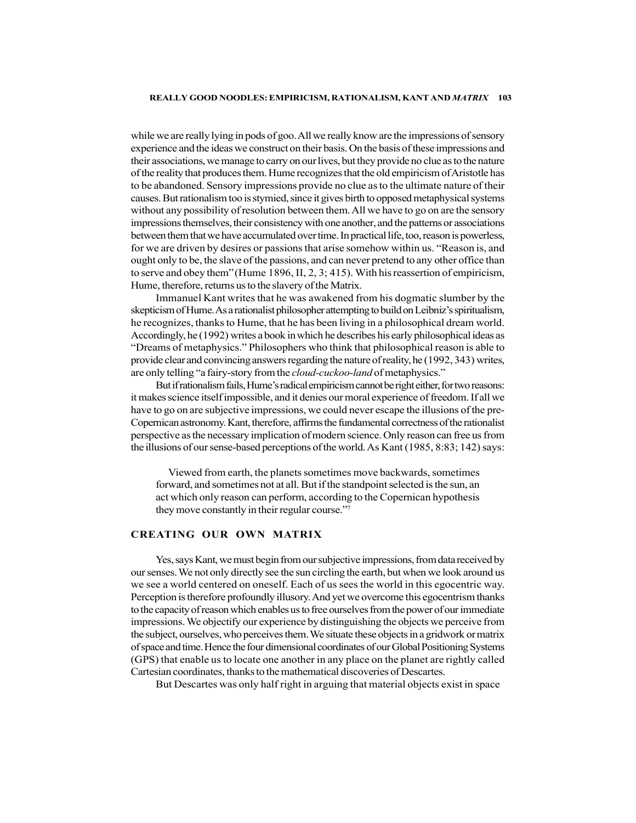while we are really lying in pods of goo. All we really know are the impressions of sensory experience and the ideas we construct on their basis. On the basis of these impressions and their associations, we manage to carry on our lives, but they provide no clue as to the nature of the reality that produces them. Hume recognizes that the old empiricism of Aristotle has to be abandoned. Sensory impressions provide no clue as to the ultimate nature of their causes. But rationalism too is stymied, since it gives birth to opposed metaphysical systems without any possibility of resolution between them. All we have to go on are the sensory impressions themselves, their consistency with one another, and the patterns or associations between them that we have accumulated over time. In practical life, too, reason is powerless, for we are driven by desires or passions that arise somehow within us. "Reason is, and ought only to be, the slave of the passions, and can never pretend to any other office than to serve and obey them"(Hume 1896, II, 2, 3; 415). With his reassertion of empiricism, Hume, therefore, returns us to the slavery of the Matrix.

Immanuel Kant writes that he was awakened from his dogmatic slumber by the skepticism of Hume. As a rationalist philosopher attempting to build on Leibniz's spiritualism, he recognizes, thanks to Hume, that he has been living in a philosophical dream world. Accordingly, he (1992) writes a book in which he describes his early philosophical ideas as "Dreams of metaphysics." Philosophers who think that philosophical reason is able to provide clear and convincing answers regarding the nature of reality, he (1992, 343) writes, are only telling "a fairy-story from the *cloud-cuckoo-land* of metaphysics."

But if rationalism fails, Hume's radical empiricism cannot be right either, for two reasons: it makes science itself impossible, and it denies our moral experience of freedom. If all we have to go on are subjective impressions, we could never escape the illusions of the pre-Copernican astronomy. Kant, therefore, affirms the fundamental correctness of the rationalist perspective as the necessary implication of modern science. Only reason can free us from the illusions of our sense-based perceptions of the world. As Kant (1985, 8:83; 142) says:

Viewed from earth, the planets sometimes move backwards, sometimes forward, and sometimes not at all. But if the standpoint selected is the sun, an act which only reason can perform, according to the Copernican hypothesis they move constantly in their regular course."7

#### CREATING OUR OWN MATRIX

Yes, says Kant, we must begin from our subjective impressions, from data received by our senses. We not only directly see the sun circling the earth, but when we look around us we see a world centered on oneself. Each of us sees the world in this egocentric way. Perception is therefore profoundly illusory. And yet we overcome this egocentrism thanks to the capacity of reason which enables us to free ourselves from the power of our immediate impressions. We objectify our experience by distinguishing the objects we perceive from the subject, ourselves, who perceives them. We situate these objects in a gridwork or matrix of space and time. Hence the four dimensional coordinates of our Global Positioning Systems (GPS) that enable us to locate one another in any place on the planet are rightly called Cartesian coordinates, thanks to the mathematical discoveries of Descartes.

But Descartes was only half right in arguing that material objects exist in space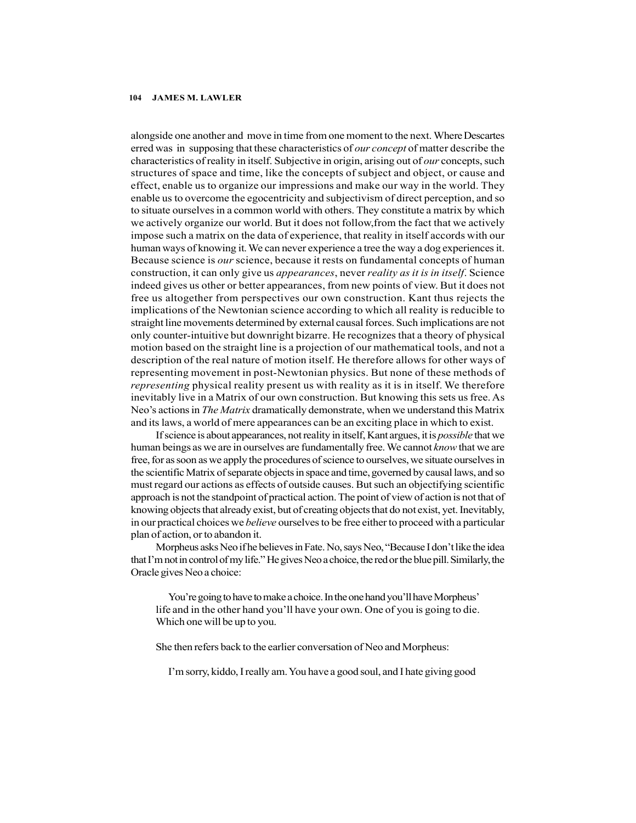alongside one another and move in time from one moment to the next. Where Descartes erred was in supposing that these characteristics of *our concept* of matter describe the characteristics of reality in itself. Subjective in origin, arising out of *our* concepts, such structures of space and time, like the concepts of subject and object, or cause and effect, enable us to organize our impressions and make our way in the world. They enable us to overcome the egocentricity and subjectivism of direct perception, and so to situate ourselves in a common world with others. They constitute a matrix by which we actively organize our world. But it does not follow,from the fact that we actively impose such a matrix on the data of experience, that reality in itself accords with our human ways of knowing it. We can never experience a tree the way a dog experiences it. Because science is *our* science, because it rests on fundamental concepts of human construction, it can only give us *appearances*, never *reality as it is in itself*. Science indeed gives us other or better appearances, from new points of view. But it does not free us altogether from perspectives our own construction. Kant thus rejects the implications of the Newtonian science according to which all reality is reducible to straight line movements determined by external causal forces. Such implications are not only counter-intuitive but downright bizarre. He recognizes that a theory of physical motion based on the straight line is a projection of our mathematical tools, and not a description of the real nature of motion itself. He therefore allows for other ways of representing movement in post-Newtonian physics. But none of these methods of *representing* physical reality present us with reality as it is in itself. We therefore inevitably live in a Matrix of our own construction. But knowing this sets us free. As Neo's actions in *The Matrix* dramatically demonstrate, when we understand this Matrix and its laws, a world of mere appearances can be an exciting place in which to exist.

If science is about appearances, not reality in itself, Kant argues, it is possible that we human beings as we are in ourselves are fundamentally free. We cannot *know* that we are free, for as soon as we apply the procedures of science to ourselves, we situate ourselves in the scientific Matrix of separate objects in space and time, governed by causal laws, and so must regard our actions as effects of outside causes. But such an objectifying scientific approach is not the standpoint of practical action. The point of view of action is not that of knowing objects that already exist, but of creating objects that do not exist, yet. Inevitably, in our practical choices we believe ourselves to be free either to proceed with a particular plan of action, or to abandon it.

Morpheus asks Neo if he believes in Fate. No, says Neo, "Because I don't like the idea that I'm not in control of my life." He gives Neo a choice, the red or the blue pill. Similarly, the Oracle gives Neo a choice:

You're going to have to make a choice. In the one hand you'll have Morpheus' life and in the other hand you'll have your own. One of you is going to die. Which one will be up to you.

She then refers back to the earlier conversation of Neo and Morpheus:

I'm sorry, kiddo, I really am. You have a good soul, and I hate giving good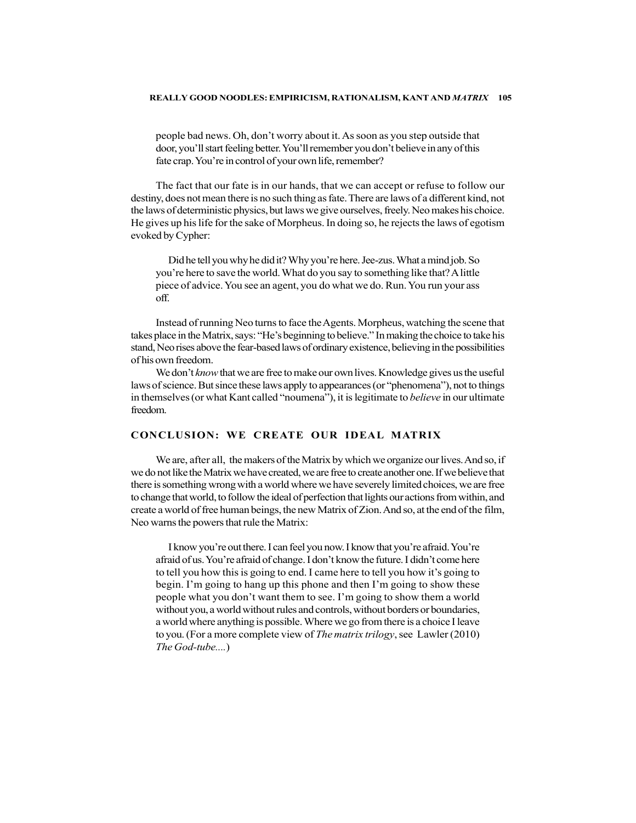people bad news. Oh, don't worry about it. As soon as you step outside that door, you'll start feeling better. You'll remember you don't believe in any of this fate crap. You're in control of your own life, remember?

The fact that our fate is in our hands, that we can accept or refuse to follow our destiny, does not mean there is no such thing as fate. There are laws of a different kind, not the laws of deterministic physics, but laws we give ourselves, freely. Neo makes his choice. He gives up his life for the sake of Morpheus. In doing so, he rejects the laws of egotism evoked by Cypher:

Did he tell you why he did it? Why you're here. Jee-zus. What a mind job. So you're here to save the world. What do you say to something like that? A little piece of advice. You see an agent, you do what we do. Run. You run your ass off.

Instead of running Neo turns to face the Agents. Morpheus, watching the scene that takes place in the Matrix, says: "He's beginning to believe." In making the choice to take his stand, Neo rises above the fear-based laws of ordinary existence, believing in the possibilities of his own freedom.

We don't know that we are free to make our own lives. Knowledge gives us the useful laws of science. But since these laws apply to appearances (or "phenomena"), not to things in themselves (or what Kant called "noumena"), it is legitimate to *believe* in our ultimate freedom.

#### CONCLUSION: WE CREATE OUR IDEAL MATRIX

We are, after all, the makers of the Matrix by which we organize our lives. And so, if we do not like the Matrix we have created, we are free to create another one. If we believe that there is something wrong with a world where we have severely limited choices, we are free to change that world, to follow the ideal of perfection that lights our actions from within, and create a world of free human beings, the new Matrix of Zion. And so, at the end of the film, Neo warns the powers that rule the Matrix:

I know you're out there. I can feel you now. I know that you're afraid. You're afraid of us. You're afraid of change. I don't know the future. I didn't come here to tell you how this is going to end. I came here to tell you how it's going to begin. I'm going to hang up this phone and then I'm going to show these people what you don't want them to see. I'm going to show them a world without you, a world without rules and controls, without borders or boundaries, a world where anything is possible. Where we go from there is a choice I leave to you. (For a more complete view of The matrix trilogy, see Lawler (2010) The God-tube....)